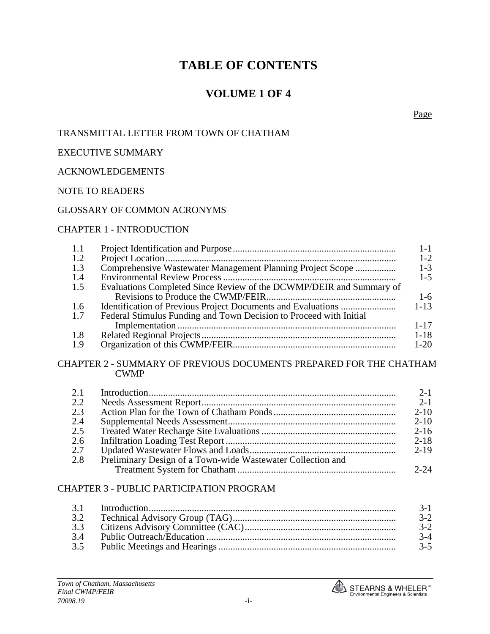## **VOLUME 1 OF 4**

Page

#### TRANSMITTAL LETTER FROM TOWN OF CHATHAM

#### EXECUTIVE SUMMARY

#### ACKNOWLEDGEMENTS

#### NOTE TO READERS

#### GLOSSARY OF COMMON ACRONYMS

#### CHAPTER 1 - INTRODUCTION

| 1.1 |                                                                     | $1 - 1$  |
|-----|---------------------------------------------------------------------|----------|
| 1.2 |                                                                     | $1 - 2$  |
| 1.3 | Comprehensive Wastewater Management Planning Project Scope          | $1 - 3$  |
| 1.4 |                                                                     | $1 - 5$  |
| 1.5 | Evaluations Completed Since Review of the DCWMP/DEIR and Summary of |          |
|     |                                                                     | $1 - 6$  |
| 1.6 |                                                                     | $1 - 13$ |
| 1.7 | Federal Stimulus Funding and Town Decision to Proceed with Initial  |          |
|     |                                                                     | $1 - 17$ |
| 1.8 |                                                                     | $1 - 18$ |
| 1.9 |                                                                     | $1 - 20$ |
|     |                                                                     |          |

#### CHAPTER 2 - SUMMARY OF PREVIOUS DOCUMENTS PREPARED FOR THE CHATHAM CWMP

| 2.1 |                                                             | $2 - 1$  |
|-----|-------------------------------------------------------------|----------|
| 2.2 |                                                             | $2 - 1$  |
| 2.3 |                                                             | $2 - 10$ |
| 2.4 |                                                             | $2 - 10$ |
| 2.5 |                                                             | $2 - 16$ |
| 2.6 |                                                             | $2 - 18$ |
| 2.7 |                                                             | $2 - 19$ |
| 2.8 | Preliminary Design of a Town-wide Wastewater Collection and |          |
|     |                                                             | $2 - 24$ |

#### CHAPTER 3 - PUBLIC PARTICIPATION PROGRAM

|     | $3-1$   |
|-----|---------|
| 3.2 | $3-2$   |
| 33  | $3-2$   |
| 34  | $3-4$   |
| 3.5 | $3 - 5$ |

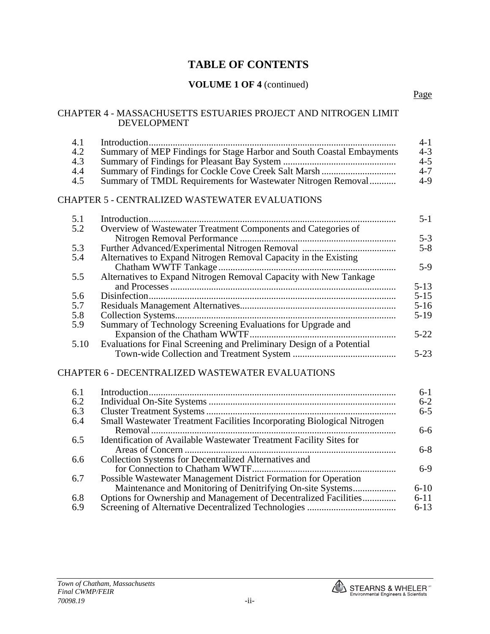### **VOLUME 1 OF 4** (continued)

#### CHAPTER 4 - MASSACHUSETTS ESTUARIES PROJECT AND NITROGEN LIMIT DEVELOPMENT

| 4.1  |                                                                       | $4 - 1$ |
|------|-----------------------------------------------------------------------|---------|
| 4.2  | Summary of MEP Findings for Stage Harbor and South Coastal Embayments | $4 - 3$ |
| 4.3  |                                                                       | $4 - 5$ |
| -4.4 |                                                                       | $4 - 7$ |
| 4.5  | Summary of TMDL Requirements for Wastewater Nitrogen Removal          | $4-9$   |

#### CHAPTER 5 - CENTRALIZED WASTEWATER EVALUATIONS

| 5.1  |                                                                       | $5-1$    |
|------|-----------------------------------------------------------------------|----------|
| 5.2  | Overview of Wastewater Treatment Components and Categories of         |          |
|      |                                                                       | $5 - 3$  |
| 5.3  |                                                                       | $5 - 8$  |
| 5.4  | Alternatives to Expand Nitrogen Removal Capacity in the Existing      |          |
|      |                                                                       | $5-9$    |
| 5.5  | Alternatives to Expand Nitrogen Removal Capacity with New Tankage     |          |
|      |                                                                       | $5-13$   |
| 5.6  |                                                                       | $5 - 15$ |
| 5.7  |                                                                       | $5-16$   |
| 5.8  |                                                                       | $5-19$   |
| 5.9  | Summary of Technology Screening Evaluations for Upgrade and           |          |
|      |                                                                       | $5-22$   |
| 5.10 | Evaluations for Final Screening and Preliminary Design of a Potential |          |
|      |                                                                       | $5-23$   |

#### CHAPTER 6 - DECENTRALIZED WASTEWATER EVALUATIONS

| 6.1 |                                                                         | $6-1$    |
|-----|-------------------------------------------------------------------------|----------|
| 6.2 |                                                                         | $6 - 2$  |
| 6.3 |                                                                         | $6 - 5$  |
| 6.4 | Small Wastewater Treatment Facilities Incorporating Biological Nitrogen |          |
|     |                                                                         | $6 - 6$  |
| 6.5 | Identification of Available Wastewater Treatment Facility Sites for     |          |
|     |                                                                         | $6 - 8$  |
| 6.6 | Collection Systems for Decentralized Alternatives and                   |          |
|     |                                                                         | $6-9$    |
| 6.7 | Possible Wastewater Management District Formation for Operation         |          |
|     |                                                                         | $6 - 10$ |
| 6.8 | Options for Ownership and Management of Decentralized Facilities        | $6 - 11$ |
| 6.9 |                                                                         | $6 - 13$ |

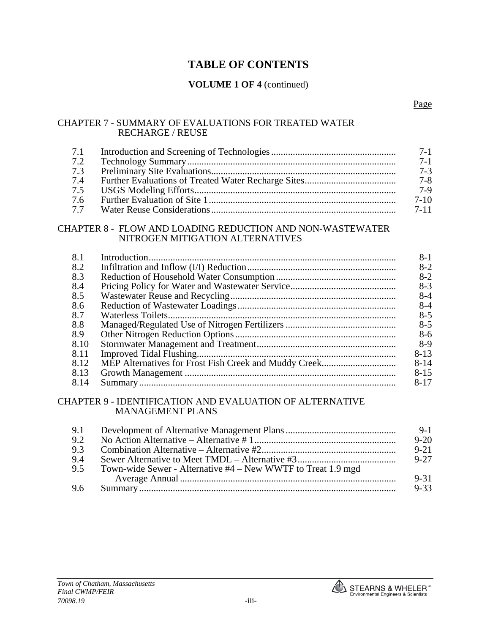#### **VOLUME 1 OF 4** (continued)

#### CHAPTER 7 - SUMMARY OF EVALUATIONS FOR TREATED WATER RECHARGE / REUSE

| 7.1 |                                                                                               | $7-1$    |
|-----|-----------------------------------------------------------------------------------------------|----------|
| 7.2 |                                                                                               | $7-1$    |
| 7.3 |                                                                                               | $7-3$    |
| 7.4 |                                                                                               | $7 - 8$  |
| 7.5 |                                                                                               | $7-9$    |
| 7.6 |                                                                                               | $7-10$   |
| 77  |                                                                                               | $7 - 11$ |
|     | CHAPTER 8 - FLOW AND LOADING REDUCTION AND NON-WASTEWATER<br>NITROGEN MITIGATION ALTERNATIVES |          |

| 8.1  | 8-1      |
|------|----------|
| 8.2  | $8-2$    |
| 8.3  | $8-2$    |
| 8.4  | $8-3$    |
| 8.5  | $8-4$    |
| 8.6  | $8-4$    |
| 8.7  | $8-5$    |
| 8.8  | $8-5$    |
| 8.9  | $8-6$    |
| 8.10 | $8-9$    |
| 8.11 | $8-13$   |
| 8.12 | $8 - 14$ |
| 8.13 | $8 - 15$ |
| 8.14 | 8-17     |

#### CHAPTER 9 - IDENTIFICATION AND EVALUATION OF ALTERNATIVE MANAGEMENT PLANS

| 9.1 |                                                              | $9-1$    |
|-----|--------------------------------------------------------------|----------|
| 9.2 |                                                              | $9 - 20$ |
| 9.3 |                                                              | $9 - 21$ |
| 9.4 |                                                              | $9 - 27$ |
| 9.5 | Town-wide Sewer - Alternative #4 – New WWTF to Treat 1.9 mgd |          |
|     |                                                              | $9 - 31$ |
| 9.6 |                                                              | $9 - 33$ |

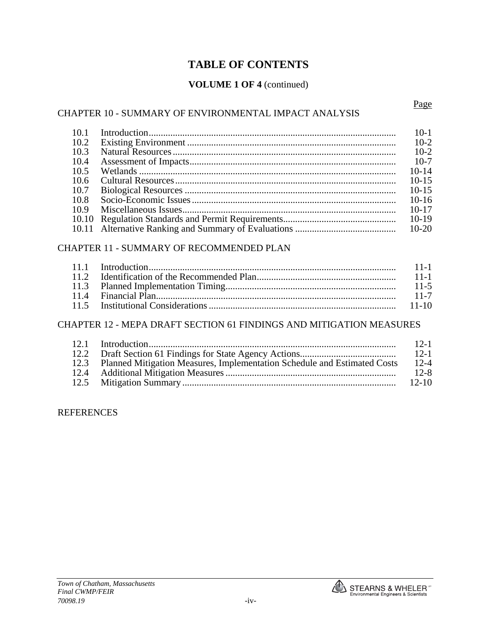### **VOLUME 1 OF 4** (continued)

#### CHAPTER 10 - SUMMARY OF ENVIRONMENTAL IMPACT ANALYSIS

Page

| 10.1 | $10-1$    |
|------|-----------|
| 10.2 | $10-2$    |
| 10.3 | $10-2$    |
| 10.4 | $10-7$    |
| 10.5 | $10 - 14$ |
| 10.6 | $10 - 15$ |
| 10.7 | $10 - 15$ |
| 10.8 | $10-16$   |
| 10.9 | $10 - 17$ |
|      | $10-19$   |
|      |           |

#### CHAPTER 11 - SUMMARY OF RECOMMENDED PLAN

|  | $-11-1$ |
|--|---------|
|  |         |
|  |         |
|  |         |

#### CHAPTER 12 - MEPA DRAFT SECTION 61 FINDINGS AND MITIGATION MEASURES

|                                                                               | $12-1$    |
|-------------------------------------------------------------------------------|-----------|
|                                                                               | $12-1$    |
| 12.3 Planned Mitigation Measures, Implementation Schedule and Estimated Costs | $12 - 4$  |
|                                                                               | $12 - 8$  |
|                                                                               | $12 - 10$ |

#### REFERENCES

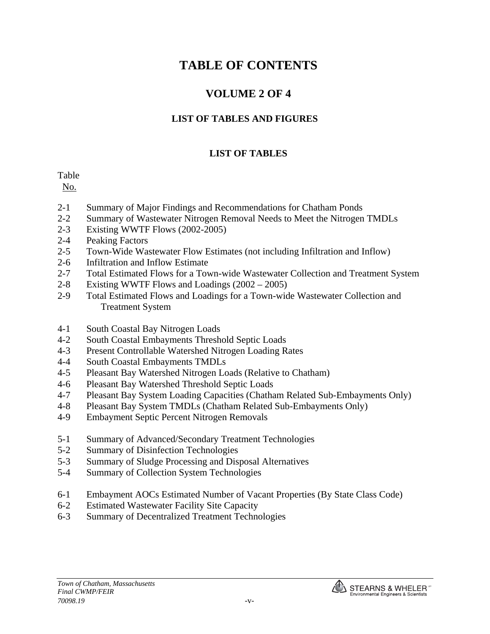# **VOLUME 2 OF 4**

## **LIST OF TABLES AND FIGURES**

### **LIST OF TABLES**

Table

No.

- 2-1 Summary of Major Findings and Recommendations for Chatham Ponds
- 2-2 Summary of Wastewater Nitrogen Removal Needs to Meet the Nitrogen TMDLs
- 2-3 Existing WWTF Flows (2002-2005)
- 2-4 Peaking Factors
- 2-5 Town-Wide Wastewater Flow Estimates (not including Infiltration and Inflow)
- 2-6 Infiltration and Inflow Estimate
- 2-7 Total Estimated Flows for a Town-wide Wastewater Collection and Treatment System
- 2-8 Existing WWTF Flows and Loadings (2002 2005)
- 2-9 Total Estimated Flows and Loadings for a Town-wide Wastewater Collection and Treatment System
- 4-1 South Coastal Bay Nitrogen Loads
- 4-2 South Coastal Embayments Threshold Septic Loads
- 4-3 Present Controllable Watershed Nitrogen Loading Rates
- 4-4 South Coastal Embayments TMDLs
- 4-5 Pleasant Bay Watershed Nitrogen Loads (Relative to Chatham)
- 4-6 Pleasant Bay Watershed Threshold Septic Loads
- 4-7 Pleasant Bay System Loading Capacities (Chatham Related Sub-Embayments Only)
- 4-8 Pleasant Bay System TMDLs (Chatham Related Sub-Embayments Only)
- 4-9 Embayment Septic Percent Nitrogen Removals
- 5-1 Summary of Advanced/Secondary Treatment Technologies
- 5-2 Summary of Disinfection Technologies
- 5-3 Summary of Sludge Processing and Disposal Alternatives
- 5-4 Summary of Collection System Technologies
- 6-1 Embayment AOCs Estimated Number of Vacant Properties (By State Class Code)
- 6-2 Estimated Wastewater Facility Site Capacity
- 6-3 Summary of Decentralized Treatment Technologies

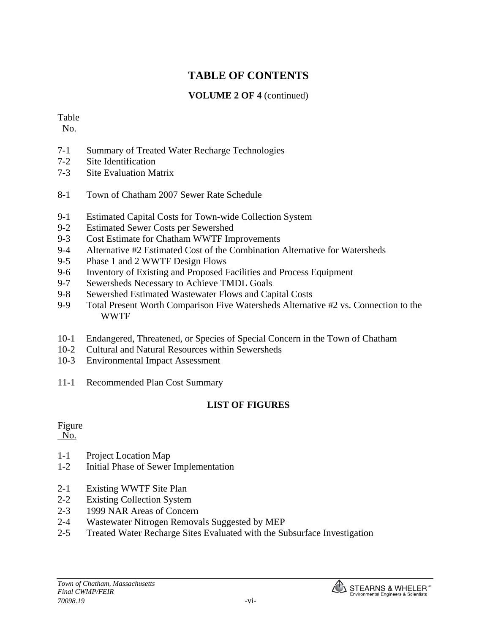### **VOLUME 2 OF 4** (continued)

### Table

No.

- 7-1 Summary of Treated Water Recharge Technologies
- 7-2 Site Identification
- 7-3 Site Evaluation Matrix
- 8-1 Town of Chatham 2007 Sewer Rate Schedule
- 9-1 Estimated Capital Costs for Town-wide Collection System
- 9-2 Estimated Sewer Costs per Sewershed
- 9-3 Cost Estimate for Chatham WWTF Improvements
- 9-4 Alternative #2 Estimated Cost of the Combination Alternative for Watersheds
- 9-5 Phase 1 and 2 WWTF Design Flows
- 9-6 Inventory of Existing and Proposed Facilities and Process Equipment
- 9-7 Sewersheds Necessary to Achieve TMDL Goals
- 9-8 Sewershed Estimated Wastewater Flows and Capital Costs
- 9-9 Total Present Worth Comparison Five Watersheds Alternative #2 vs. Connection to the WWTF
- 10-1 Endangered, Threatened, or Species of Special Concern in the Town of Chatham
- 10-2 Cultural and Natural Resources within Sewersheds
- 10-3 Environmental Impact Assessment
- 11-1 Recommended Plan Cost Summary

## **LIST OF FIGURES**

## Figure

No.

- 1-1 Project Location Map
- 1-2 Initial Phase of Sewer Implementation
- 2-1 Existing WWTF Site Plan
- 2-2 Existing Collection System
- 2-3 1999 NAR Areas of Concern
- 2-4 Wastewater Nitrogen Removals Suggested by MEP
- 2-5 Treated Water Recharge Sites Evaluated with the Subsurface Investigation

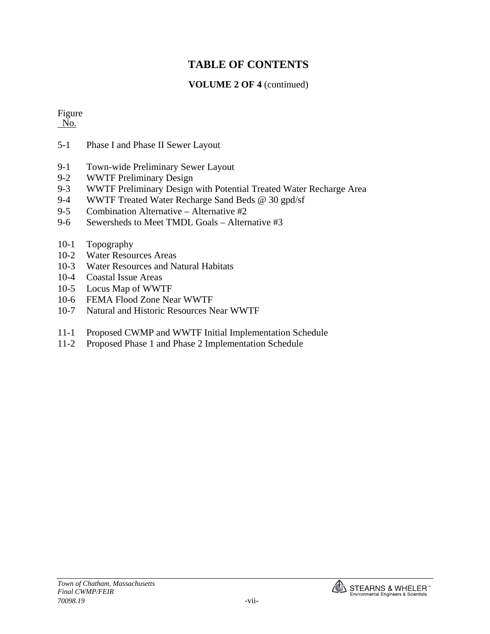### **VOLUME 2 OF 4** (continued)

#### Figure No.

- 5-1 Phase I and Phase II Sewer Layout
- 9-1 Town-wide Preliminary Sewer Layout
- 9-2 WWTF Preliminary Design
- 9-3 WWTF Preliminary Design with Potential Treated Water Recharge Area
- 9-4 WWTF Treated Water Recharge Sand Beds @ 30 gpd/sf
- 9-5 Combination Alternative Alternative #2
- 9-6 Sewersheds to Meet TMDL Goals Alternative #3
- 10-1 Topography
- 10-2 Water Resources Areas
- 10-3 Water Resources and Natural Habitats
- 10-4 Coastal Issue Areas
- 10-5 Locus Map of WWTF
- 10-6 FEMA Flood Zone Near WWTF
- 10-7 Natural and Historic Resources Near WWTF
- 11-1 Proposed CWMP and WWTF Initial Implementation Schedule
- 11-2 Proposed Phase 1 and Phase 2 Implementation Schedule

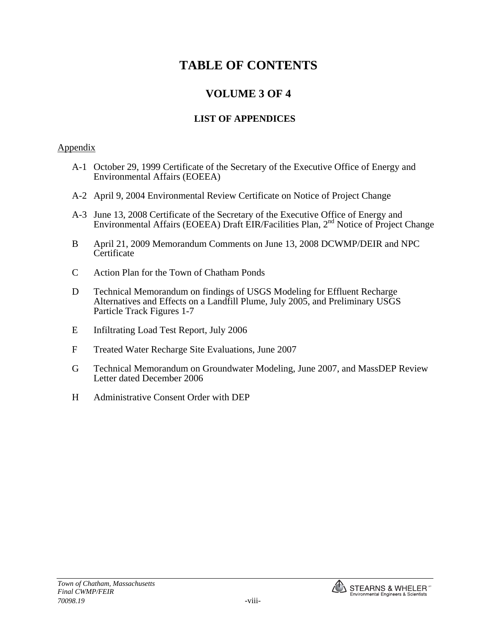# **VOLUME 3 OF 4**

## **LIST OF APPENDICES**

### Appendix

- A-1 October 29, 1999 Certificate of the Secretary of the Executive Office of Energy and Environmental Affairs (EOEEA)
- A-2 April 9, 2004 Environmental Review Certificate on Notice of Project Change
- A-3 June 13, 2008 Certificate of the Secretary of the Executive Office of Energy and Environmental Affairs (EOEEA) Draft EIR/Facilities Plan, 2nd Notice of Project Change
- B April 21, 2009 Memorandum Comments on June 13, 2008 DCWMP/DEIR and NPC **Certificate**
- C Action Plan for the Town of Chatham Ponds
- D Technical Memorandum on findings of USGS Modeling for Effluent Recharge Alternatives and Effects on a Landfill Plume, July 2005, and Preliminary USGS Particle Track Figures 1-7
- E Infiltrating Load Test Report, July 2006
- F Treated Water Recharge Site Evaluations, June 2007
- G Technical Memorandum on Groundwater Modeling, June 2007, and MassDEP Review Letter dated December 2006
- H Administrative Consent Order with DEP